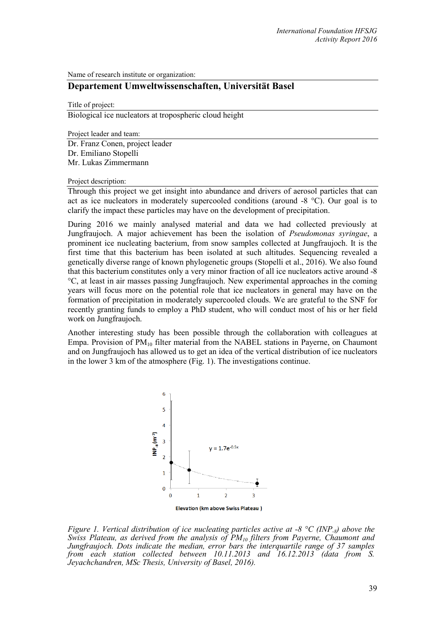Name of research institute or organization:

# **Departement Umweltwissenschaften, Universität Basel**

Title of project:

Biological ice nucleators at tropospheric cloud height

Project leader and team:

Dr. Franz Conen, project leader Dr. Emiliano Stopelli Mr. Lukas Zimmermann

Project description:

Through this project we get insight into abundance and drivers of aerosol particles that can act as ice nucleators in moderately supercooled conditions (around -8 °C). Our goal is to clarify the impact these particles may have on the development of precipitation.

During 2016 we mainly analysed material and data we had collected previously at Jungfraujoch. A major achievement has been the isolation of *Pseudomonas syringae*, a prominent ice nucleating bacterium, from snow samples collected at Jungfraujoch. It is the first time that this bacterium has been isolated at such altitudes. Sequencing revealed a genetically diverse range of known phylogenetic groups (Stopelli et al., 2016). We also found that this bacterium constitutes only a very minor fraction of all ice nucleators active around -8 °C, at least in air masses passing Jungfraujoch. New experimental approaches in the coming years will focus more on the potential role that ice nucleators in general may have on the formation of precipitation in moderately supercooled clouds. We are grateful to the SNF for recently granting funds to employ a PhD student, who will conduct most of his or her field work on Jungfraujoch.

Another interesting study has been possible through the collaboration with colleagues at Empa. Provision of  $PM_{10}$  filter material from the NABEL stations in Payerne, on Chaumont and on Jungfraujoch has allowed us to get an idea of the vertical distribution of ice nucleators in the lower 3 km of the atmosphere (Fig. 1). The investigations continue.



*Figure 1. Vertical distribution of ice nucleating particles active at -8 °C (INP-8) above the Swiss Plateau, as derived from the analysis of PM10 filters from Payerne, Chaumont and Jungfraujoch. Dots indicate the median, error bars the interquartile range of 37 samples from each station collected between 10.11.2013 and 16.12.2013 (data from S. Jeyachchandren, MSc Thesis, University of Basel, 2016).*